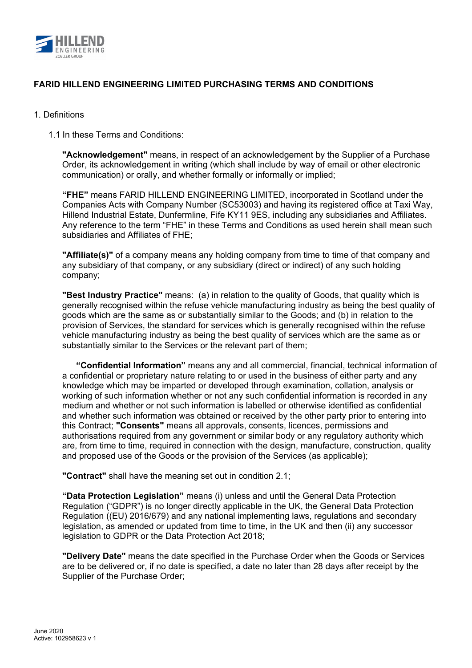

### 1. Definitions

1.1 In these Terms and Conditions:

**"Acknowledgement"** means, in respect of an acknowledgement by the Supplier of a Purchase Order, its acknowledgement in writing (which shall include by way of email or other electronic communication) or orally, and whether formally or informally or implied;

**"FHE"** means FARID HILLEND ENGINEERING LIMITED, incorporated in Scotland under the Companies Acts with Company Number (SC53003) and having its registered office at Taxi Way, Hillend Industrial Estate, Dunfermline, Fife KY11 9ES, including any subsidiaries and Affiliates. Any reference to the term "FHE" in these Terms and Conditions as used herein shall mean such subsidiaries and Affiliates of FHE;

**"Affiliate(s)"** of a company means any holding company from time to time of that company and any subsidiary of that company, or any subsidiary (direct or indirect) of any such holding company;

**"Best Industry Practice"** means: (a) in relation to the quality of Goods, that quality which is generally recognised within the refuse vehicle manufacturing industry as being the best quality of goods which are the same as or substantially similar to the Goods; and (b) in relation to the provision of Services, the standard for services which is generally recognised within the refuse vehicle manufacturing industry as being the best quality of services which are the same as or substantially similar to the Services or the relevant part of them;

**"Confidential Information"** means any and all commercial, financial, technical information of a confidential or proprietary nature relating to or used in the business of either party and any knowledge which may be imparted or developed through examination, collation, analysis or working of such information whether or not any such confidential information is recorded in any medium and whether or not such information is labelled or otherwise identified as confidential and whether such information was obtained or received by the other party prior to entering into this Contract; **"Consents"** means all approvals, consents, licences, permissions and authorisations required from any government or similar body or any regulatory authority which are, from time to time, required in connection with the design, manufacture, construction, quality and proposed use of the Goods or the provision of the Services (as applicable);

**"Contract"** shall have the meaning set out in condition 2.1;

**"Data Protection Legislation"** means (i) unless and until the General Data Protection Regulation ("GDPR") is no longer directly applicable in the UK, the General Data Protection Regulation ((EU) 2016/679) and any national implementing laws, regulations and secondary legislation, as amended or updated from time to time, in the UK and then (ii) any successor legislation to GDPR or the Data Protection Act 2018;

**"Delivery Date"** means the date specified in the Purchase Order when the Goods or Services are to be delivered or, if no date is specified, a date no later than 28 days after receipt by the Supplier of the Purchase Order;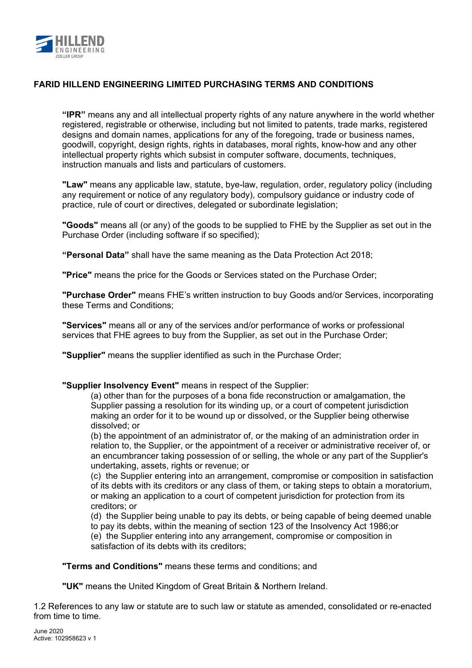

**"IPR"** means any and all intellectual property rights of any nature anywhere in the world whether registered, registrable or otherwise, including but not limited to patents, trade marks, registered designs and domain names, applications for any of the foregoing, trade or business names, goodwill, copyright, design rights, rights in databases, moral rights, know-how and any other intellectual property rights which subsist in computer software, documents, techniques, instruction manuals and lists and particulars of customers.

**"Law"** means any applicable law, statute, bye-law, regulation, order, regulatory policy (including any requirement or notice of any regulatory body), compulsory guidance or industry code of practice, rule of court or directives, delegated or subordinate legislation;

**"Goods"** means all (or any) of the goods to be supplied to FHE by the Supplier as set out in the Purchase Order (including software if so specified);

**"Personal Data"** shall have the same meaning as the Data Protection Act 2018;

**"Price"** means the price for the Goods or Services stated on the Purchase Order;

**"Purchase Order"** means FHE's written instruction to buy Goods and/or Services, incorporating these Terms and Conditions;

**"Services"** means all or any of the services and/or performance of works or professional services that FHE agrees to buy from the Supplier, as set out in the Purchase Order;

**"Supplier"** means the supplier identified as such in the Purchase Order;

**"Supplier Insolvency Event"** means in respect of the Supplier:

(a) other than for the purposes of a bona fide reconstruction or amalgamation, the Supplier passing a resolution for its winding up, or a court of competent jurisdiction making an order for it to be wound up or dissolved, or the Supplier being otherwise dissolved; or

(b) the appointment of an administrator of, or the making of an administration order in relation to, the Supplier, or the appointment of a receiver or administrative receiver of, or an encumbrancer taking possession of or selling, the whole or any part of the Supplier's undertaking, assets, rights or revenue; or

(c) the Supplier entering into an arrangement, compromise or composition in satisfaction of its debts with its creditors or any class of them, or taking steps to obtain a moratorium, or making an application to a court of competent jurisdiction for protection from its creditors; or

(d) the Supplier being unable to pay its debts, or being capable of being deemed unable to pay its debts, within the meaning of section 123 of the Insolvency Act 1986;or

(e) the Supplier entering into any arrangement, compromise or composition in satisfaction of its debts with its creditors;

**"Terms and Conditions"** means these terms and conditions; and

**"UK"** means the United Kingdom of Great Britain & Northern Ireland.

1.2 References to any law or statute are to such law or statute as amended, consolidated or re-enacted from time to time.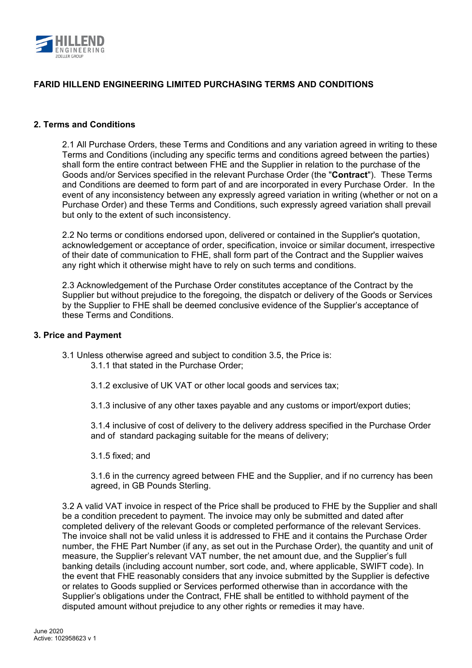

### **2. Terms and Conditions**

2.1 All Purchase Orders, these Terms and Conditions and any variation agreed in writing to these Terms and Conditions (including any specific terms and conditions agreed between the parties) shall form the entire contract between FHE and the Supplier in relation to the purchase of the Goods and/or Services specified in the relevant Purchase Order (the "**Contract**"). These Terms and Conditions are deemed to form part of and are incorporated in every Purchase Order. In the event of any inconsistency between any expressly agreed variation in writing (whether or not on a Purchase Order) and these Terms and Conditions, such expressly agreed variation shall prevail but only to the extent of such inconsistency.

2.2 No terms or conditions endorsed upon, delivered or contained in the Supplier's quotation, acknowledgement or acceptance of order, specification, invoice or similar document, irrespective of their date of communication to FHE, shall form part of the Contract and the Supplier waives any right which it otherwise might have to rely on such terms and conditions.

2.3 Acknowledgement of the Purchase Order constitutes acceptance of the Contract by the Supplier but without prejudice to the foregoing, the dispatch or delivery of the Goods or Services by the Supplier to FHE shall be deemed conclusive evidence of the Supplier's acceptance of these Terms and Conditions.

#### **3. Price and Payment**

3.1 Unless otherwise agreed and subject to condition 3.5, the Price is:

- 3.1.1 that stated in the Purchase Order;
- 3.1.2 exclusive of UK VAT or other local goods and services tax;
- 3.1.3 inclusive of any other taxes payable and any customs or import/export duties;

3.1.4 inclusive of cost of delivery to the delivery address specified in the Purchase Order and of standard packaging suitable for the means of delivery;

3.1.5 fixed; and

3.1.6 in the currency agreed between FHE and the Supplier, and if no currency has been agreed, in GB Pounds Sterling.

3.2 A valid VAT invoice in respect of the Price shall be produced to FHE by the Supplier and shall be a condition precedent to payment. The invoice may only be submitted and dated after completed delivery of the relevant Goods or completed performance of the relevant Services. The invoice shall not be valid unless it is addressed to FHE and it contains the Purchase Order number, the FHE Part Number (if any, as set out in the Purchase Order), the quantity and unit of measure, the Supplier's relevant VAT number, the net amount due, and the Supplier's full banking details (including account number, sort code, and, where applicable, SWIFT code). In the event that FHE reasonably considers that any invoice submitted by the Supplier is defective or relates to Goods supplied or Services performed otherwise than in accordance with the Supplier's obligations under the Contract, FHE shall be entitled to withhold payment of the disputed amount without prejudice to any other rights or remedies it may have.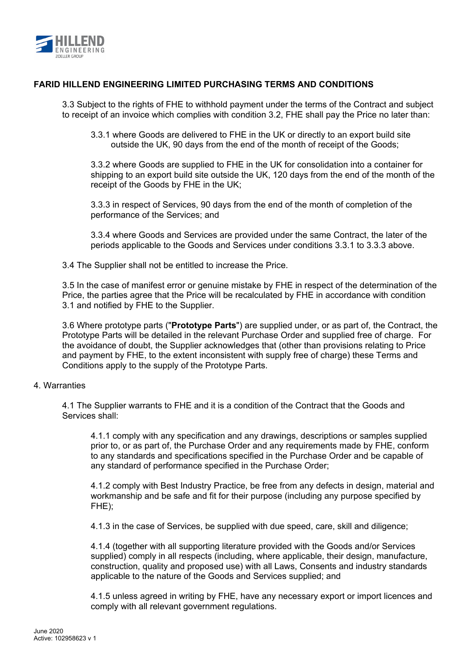

3.3 Subject to the rights of FHE to withhold payment under the terms of the Contract and subject to receipt of an invoice which complies with condition 3.2, FHE shall pay the Price no later than:

3.3.1 where Goods are delivered to FHE in the UK or directly to an export build site outside the UK, 90 days from the end of the month of receipt of the Goods;

3.3.2 where Goods are supplied to FHE in the UK for consolidation into a container for shipping to an export build site outside the UK, 120 days from the end of the month of the receipt of the Goods by FHE in the UK;

3.3.3 in respect of Services, 90 days from the end of the month of completion of the performance of the Services; and

3.3.4 where Goods and Services are provided under the same Contract, the later of the periods applicable to the Goods and Services under conditions 3.3.1 to 3.3.3 above.

3.4 The Supplier shall not be entitled to increase the Price.

3.5 In the case of manifest error or genuine mistake by FHE in respect of the determination of the Price, the parties agree that the Price will be recalculated by FHE in accordance with condition 3.1 and notified by FHE to the Supplier.

3.6 Where prototype parts ("**Prototype Parts**") are supplied under, or as part of, the Contract, the Prototype Parts will be detailed in the relevant Purchase Order and supplied free of charge. For the avoidance of doubt, the Supplier acknowledges that (other than provisions relating to Price and payment by FHE, to the extent inconsistent with supply free of charge) these Terms and Conditions apply to the supply of the Prototype Parts.

### 4. Warranties

4.1 The Supplier warrants to FHE and it is a condition of the Contract that the Goods and Services shall:

4.1.1 comply with any specification and any drawings, descriptions or samples supplied prior to, or as part of, the Purchase Order and any requirements made by FHE, conform to any standards and specifications specified in the Purchase Order and be capable of any standard of performance specified in the Purchase Order;

4.1.2 comply with Best Industry Practice, be free from any defects in design, material and workmanship and be safe and fit for their purpose (including any purpose specified by FHE);

4.1.3 in the case of Services, be supplied with due speed, care, skill and diligence;

4.1.4 (together with all supporting literature provided with the Goods and/or Services supplied) comply in all respects (including, where applicable, their design, manufacture, construction, quality and proposed use) with all Laws, Consents and industry standards applicable to the nature of the Goods and Services supplied; and

4.1.5 unless agreed in writing by FHE, have any necessary export or import licences and comply with all relevant government regulations.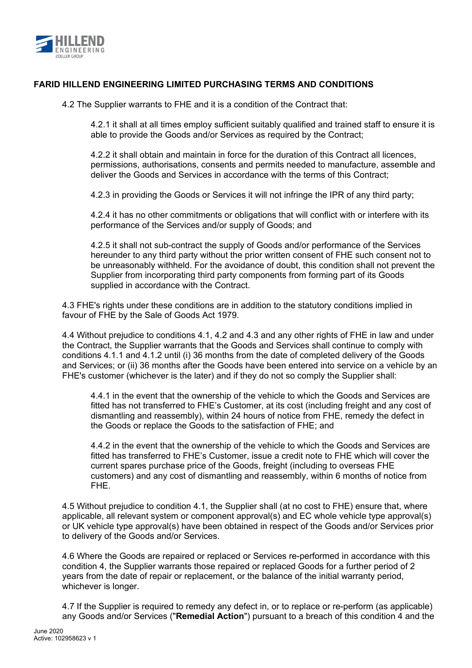

4.2 The Supplier warrants to FHE and it is a condition of the Contract that:

4.2.1 it shall at all times employ sufficient suitably qualified and trained staff to ensure it is able to provide the Goods and/or Services as required by the Contract;

4.2.2 it shall obtain and maintain in force for the duration of this Contract all licences, permissions, authorisations, consents and permits needed to manufacture, assemble and deliver the Goods and Services in accordance with the terms of this Contract;

4.2.3 in providing the Goods or Services it will not infringe the IPR of any third party;

4.2.4 it has no other commitments or obligations that will conflict with or interfere with its performance of the Services and/or supply of Goods; and

4.2.5 it shall not sub-contract the supply of Goods and/or performance of the Services hereunder to any third party without the prior written consent of FHE such consent not to be unreasonably withheld. For the avoidance of doubt, this condition shall not prevent the Supplier from incorporating third party components from forming part of its Goods supplied in accordance with the Contract.

4.3 FHE's rights under these conditions are in addition to the statutory conditions implied in favour of FHE by the Sale of Goods Act 1979.

4.4 Without prejudice to conditions 4.1, 4.2 and 4.3 and any other rights of FHE in law and under the Contract, the Supplier warrants that the Goods and Services shall continue to comply with conditions 4.1.1 and 4.1.2 until (i) 36 months from the date of completed delivery of the Goods and Services; or (ii) 36 months after the Goods have been entered into service on a vehicle by an FHE's customer (whichever is the later) and if they do not so comply the Supplier shall:

4.4.1 in the event that the ownership of the vehicle to which the Goods and Services are fitted has not transferred to FHE's Customer, at its cost (including freight and any cost of dismantling and reassembly), within 24 hours of notice from FHE, remedy the defect in the Goods or replace the Goods to the satisfaction of FHE; and

4.4.2 in the event that the ownership of the vehicle to which the Goods and Services are fitted has transferred to FHE's Customer, issue a credit note to FHE which will cover the current spares purchase price of the Goods, freight (including to overseas FHE customers) and any cost of dismantling and reassembly, within 6 months of notice from FHE.

4.5 Without prejudice to condition 4.1, the Supplier shall (at no cost to FHE) ensure that, where applicable, all relevant system or component approval(s) and EC whole vehicle type approval(s) or UK vehicle type approval(s) have been obtained in respect of the Goods and/or Services prior to delivery of the Goods and/or Services.

4.6 Where the Goods are repaired or replaced or Services re-performed in accordance with this condition 4, the Supplier warrants those repaired or replaced Goods for a further period of 2 years from the date of repair or replacement, or the balance of the initial warranty period, whichever is longer.

4.7 If the Supplier is required to remedy any defect in, or to replace or re-perform (as applicable) any Goods and/or Services ("**Remedial Action**") pursuant to a breach of this condition 4 and the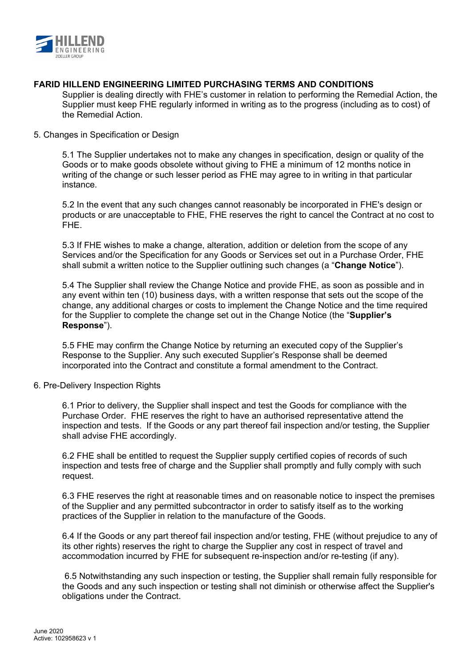

Supplier is dealing directly with FHE's customer in relation to performing the Remedial Action, the Supplier must keep FHE regularly informed in writing as to the progress (including as to cost) of the Remedial Action.

### 5. Changes in Specification or Design

5.1 The Supplier undertakes not to make any changes in specification, design or quality of the Goods or to make goods obsolete without giving to FHE a minimum of 12 months notice in writing of the change or such lesser period as FHE may agree to in writing in that particular instance.

5.2 In the event that any such changes cannot reasonably be incorporated in FHE's design or products or are unacceptable to FHE, FHE reserves the right to cancel the Contract at no cost to FHE.

5.3 If FHE wishes to make a change, alteration, addition or deletion from the scope of any Services and/or the Specification for any Goods or Services set out in a Purchase Order, FHE shall submit a written notice to the Supplier outlining such changes (a "**Change Notice**").

5.4 The Supplier shall review the Change Notice and provide FHE, as soon as possible and in any event within ten (10) business days, with a written response that sets out the scope of the change, any additional charges or costs to implement the Change Notice and the time required for the Supplier to complete the change set out in the Change Notice (the "**Supplier's Response**").

5.5 FHE may confirm the Change Notice by returning an executed copy of the Supplier's Response to the Supplier. Any such executed Supplier's Response shall be deemed incorporated into the Contract and constitute a formal amendment to the Contract.

## 6. Pre-Delivery Inspection Rights

6.1 Prior to delivery, the Supplier shall inspect and test the Goods for compliance with the Purchase Order. FHE reserves the right to have an authorised representative attend the inspection and tests. If the Goods or any part thereof fail inspection and/or testing, the Supplier shall advise FHE accordingly.

6.2 FHE shall be entitled to request the Supplier supply certified copies of records of such inspection and tests free of charge and the Supplier shall promptly and fully comply with such request.

6.3 FHE reserves the right at reasonable times and on reasonable notice to inspect the premises of the Supplier and any permitted subcontractor in order to satisfy itself as to the working practices of the Supplier in relation to the manufacture of the Goods.

6.4 If the Goods or any part thereof fail inspection and/or testing, FHE (without prejudice to any of its other rights) reserves the right to charge the Supplier any cost in respect of travel and accommodation incurred by FHE for subsequent re-inspection and/or re-testing (if any).

 6.5 Notwithstanding any such inspection or testing, the Supplier shall remain fully responsible for the Goods and any such inspection or testing shall not diminish or otherwise affect the Supplier's obligations under the Contract.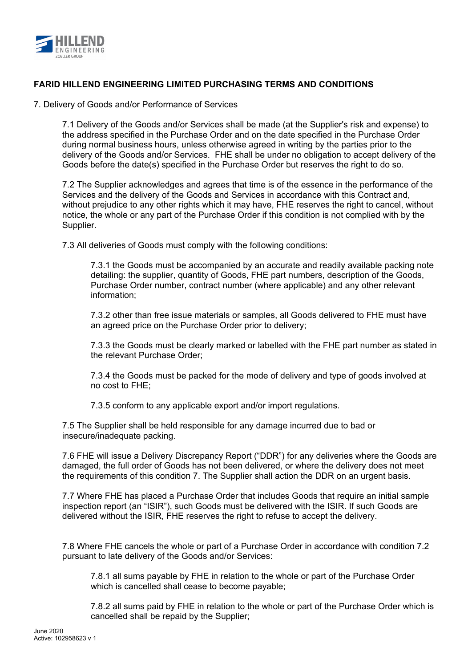

7. Delivery of Goods and/or Performance of Services

7.1 Delivery of the Goods and/or Services shall be made (at the Supplier's risk and expense) to the address specified in the Purchase Order and on the date specified in the Purchase Order during normal business hours, unless otherwise agreed in writing by the parties prior to the delivery of the Goods and/or Services. FHE shall be under no obligation to accept delivery of the Goods before the date(s) specified in the Purchase Order but reserves the right to do so.

7.2 The Supplier acknowledges and agrees that time is of the essence in the performance of the Services and the delivery of the Goods and Services in accordance with this Contract and, without prejudice to any other rights which it may have, FHE reserves the right to cancel, without notice, the whole or any part of the Purchase Order if this condition is not complied with by the Supplier.

7.3 All deliveries of Goods must comply with the following conditions:

7.3.1 the Goods must be accompanied by an accurate and readily available packing note detailing: the supplier, quantity of Goods, FHE part numbers, description of the Goods, Purchase Order number, contract number (where applicable) and any other relevant information;

7.3.2 other than free issue materials or samples, all Goods delivered to FHE must have an agreed price on the Purchase Order prior to delivery;

7.3.3 the Goods must be clearly marked or labelled with the FHE part number as stated in the relevant Purchase Order;

7.3.4 the Goods must be packed for the mode of delivery and type of goods involved at no cost to FHE;

7.3.5 conform to any applicable export and/or import regulations.

7.5 The Supplier shall be held responsible for any damage incurred due to bad or insecure/inadequate packing.

7.6 FHE will issue a Delivery Discrepancy Report ("DDR") for any deliveries where the Goods are damaged, the full order of Goods has not been delivered, or where the delivery does not meet the requirements of this condition 7. The Supplier shall action the DDR on an urgent basis.

7.7 Where FHE has placed a Purchase Order that includes Goods that require an initial sample inspection report (an "ISIR"), such Goods must be delivered with the ISIR. If such Goods are delivered without the ISIR, FHE reserves the right to refuse to accept the delivery.

7.8 Where FHE cancels the whole or part of a Purchase Order in accordance with condition 7.2 pursuant to late delivery of the Goods and/or Services:

7.8.1 all sums payable by FHE in relation to the whole or part of the Purchase Order which is cancelled shall cease to become payable;

7.8.2 all sums paid by FHE in relation to the whole or part of the Purchase Order which is cancelled shall be repaid by the Supplier;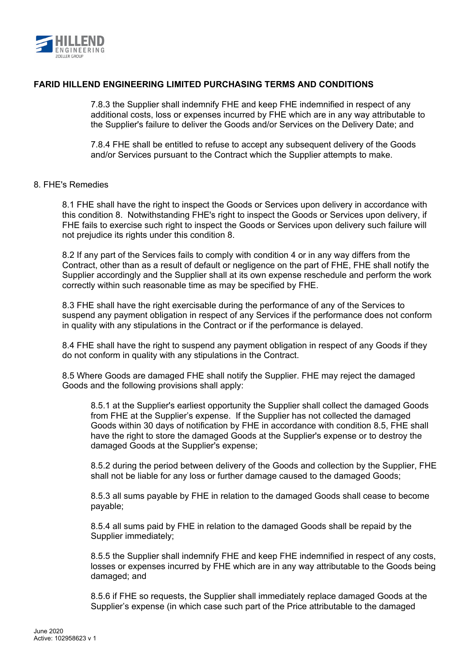

7.8.3 the Supplier shall indemnify FHE and keep FHE indemnified in respect of any additional costs, loss or expenses incurred by FHE which are in any way attributable to the Supplier's failure to deliver the Goods and/or Services on the Delivery Date; and

7.8.4 FHE shall be entitled to refuse to accept any subsequent delivery of the Goods and/or Services pursuant to the Contract which the Supplier attempts to make.

### 8. FHE's Remedies

8.1 FHE shall have the right to inspect the Goods or Services upon delivery in accordance with this condition 8. Notwithstanding FHE's right to inspect the Goods or Services upon delivery, if FHE fails to exercise such right to inspect the Goods or Services upon delivery such failure will not prejudice its rights under this condition 8.

8.2 If any part of the Services fails to comply with condition 4 or in any way differs from the Contract, other than as a result of default or negligence on the part of FHE, FHE shall notify the Supplier accordingly and the Supplier shall at its own expense reschedule and perform the work correctly within such reasonable time as may be specified by FHE.

8.3 FHE shall have the right exercisable during the performance of any of the Services to suspend any payment obligation in respect of any Services if the performance does not conform in quality with any stipulations in the Contract or if the performance is delayed.

8.4 FHE shall have the right to suspend any payment obligation in respect of any Goods if they do not conform in quality with any stipulations in the Contract.

8.5 Where Goods are damaged FHE shall notify the Supplier. FHE may reject the damaged Goods and the following provisions shall apply:

8.5.1 at the Supplier's earliest opportunity the Supplier shall collect the damaged Goods from FHE at the Supplier's expense. If the Supplier has not collected the damaged Goods within 30 days of notification by FHE in accordance with condition 8.5, FHE shall have the right to store the damaged Goods at the Supplier's expense or to destroy the damaged Goods at the Supplier's expense;

8.5.2 during the period between delivery of the Goods and collection by the Supplier, FHE shall not be liable for any loss or further damage caused to the damaged Goods;

8.5.3 all sums payable by FHE in relation to the damaged Goods shall cease to become payable;

8.5.4 all sums paid by FHE in relation to the damaged Goods shall be repaid by the Supplier immediately;

8.5.5 the Supplier shall indemnify FHE and keep FHE indemnified in respect of any costs, losses or expenses incurred by FHE which are in any way attributable to the Goods being damaged; and

8.5.6 if FHE so requests, the Supplier shall immediately replace damaged Goods at the Supplier's expense (in which case such part of the Price attributable to the damaged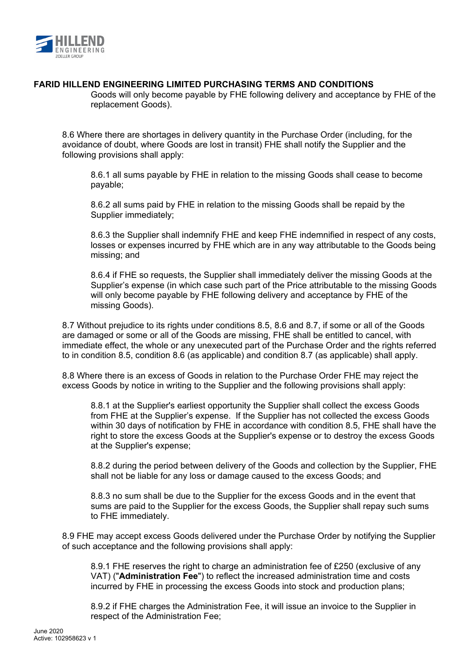

Goods will only become payable by FHE following delivery and acceptance by FHE of the replacement Goods).

8.6 Where there are shortages in delivery quantity in the Purchase Order (including, for the avoidance of doubt, where Goods are lost in transit) FHE shall notify the Supplier and the following provisions shall apply:

8.6.1 all sums payable by FHE in relation to the missing Goods shall cease to become payable;

8.6.2 all sums paid by FHE in relation to the missing Goods shall be repaid by the Supplier immediately;

8.6.3 the Supplier shall indemnify FHE and keep FHE indemnified in respect of any costs, losses or expenses incurred by FHE which are in any way attributable to the Goods being missing; and

8.6.4 if FHE so requests, the Supplier shall immediately deliver the missing Goods at the Supplier's expense (in which case such part of the Price attributable to the missing Goods will only become payable by FHE following delivery and acceptance by FHE of the missing Goods).

8.7 Without prejudice to its rights under conditions 8.5, 8.6 and 8.7, if some or all of the Goods are damaged or some or all of the Goods are missing, FHE shall be entitled to cancel, with immediate effect, the whole or any unexecuted part of the Purchase Order and the rights referred to in condition 8.5, condition 8.6 (as applicable) and condition 8.7 (as applicable) shall apply.

8.8 Where there is an excess of Goods in relation to the Purchase Order FHE may reject the excess Goods by notice in writing to the Supplier and the following provisions shall apply:

8.8.1 at the Supplier's earliest opportunity the Supplier shall collect the excess Goods from FHE at the Supplier's expense. If the Supplier has not collected the excess Goods within 30 days of notification by FHE in accordance with condition 8.5, FHE shall have the right to store the excess Goods at the Supplier's expense or to destroy the excess Goods at the Supplier's expense;

8.8.2 during the period between delivery of the Goods and collection by the Supplier, FHE shall not be liable for any loss or damage caused to the excess Goods; and

8.8.3 no sum shall be due to the Supplier for the excess Goods and in the event that sums are paid to the Supplier for the excess Goods, the Supplier shall repay such sums to FHE immediately.

8.9 FHE may accept excess Goods delivered under the Purchase Order by notifying the Supplier of such acceptance and the following provisions shall apply:

8.9.1 FHE reserves the right to charge an administration fee of £250 (exclusive of any VAT) ("**Administration Fee**") to reflect the increased administration time and costs incurred by FHE in processing the excess Goods into stock and production plans;

8.9.2 if FHE charges the Administration Fee, it will issue an invoice to the Supplier in respect of the Administration Fee;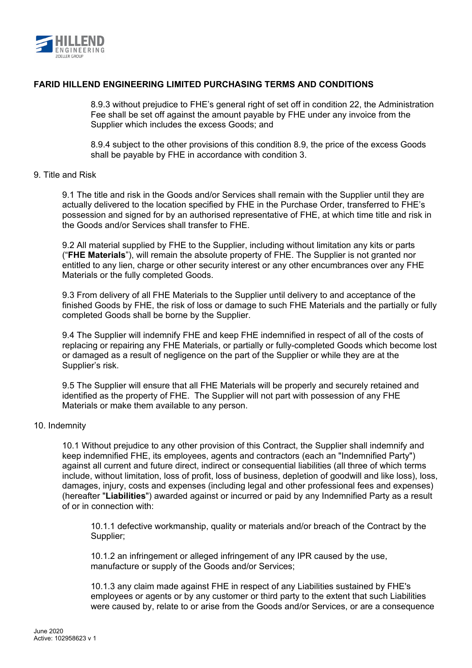

8.9.3 without prejudice to FHE's general right of set off in condition 22, the Administration Fee shall be set off against the amount payable by FHE under any invoice from the Supplier which includes the excess Goods; and

8.9.4 subject to the other provisions of this condition 8.9, the price of the excess Goods shall be payable by FHE in accordance with condition 3.

### 9. Title and Risk

9.1 The title and risk in the Goods and/or Services shall remain with the Supplier until they are actually delivered to the location specified by FHE in the Purchase Order, transferred to FHE's possession and signed for by an authorised representative of FHE, at which time title and risk in the Goods and/or Services shall transfer to FHE.

9.2 All material supplied by FHE to the Supplier, including without limitation any kits or parts ("**FHE Materials**"), will remain the absolute property of FHE. The Supplier is not granted nor entitled to any lien, charge or other security interest or any other encumbrances over any FHE Materials or the fully completed Goods.

9.3 From delivery of all FHE Materials to the Supplier until delivery to and acceptance of the finished Goods by FHE, the risk of loss or damage to such FHE Materials and the partially or fully completed Goods shall be borne by the Supplier.

9.4 The Supplier will indemnify FHE and keep FHE indemnified in respect of all of the costs of replacing or repairing any FHE Materials, or partially or fully-completed Goods which become lost or damaged as a result of negligence on the part of the Supplier or while they are at the Supplier's risk.

9.5 The Supplier will ensure that all FHE Materials will be properly and securely retained and identified as the property of FHE. The Supplier will not part with possession of any FHE Materials or make them available to any person.

### 10. Indemnity

10.1 Without prejudice to any other provision of this Contract, the Supplier shall indemnify and keep indemnified FHE, its employees, agents and contractors (each an "Indemnified Party") against all current and future direct, indirect or consequential liabilities (all three of which terms include, without limitation, loss of profit, loss of business, depletion of goodwill and like loss), loss, damages, injury, costs and expenses (including legal and other professional fees and expenses) (hereafter "**Liabilities**") awarded against or incurred or paid by any Indemnified Party as a result of or in connection with:

10.1.1 defective workmanship, quality or materials and/or breach of the Contract by the Supplier;

10.1.2 an infringement or alleged infringement of any IPR caused by the use, manufacture or supply of the Goods and/or Services;

10.1.3 any claim made against FHE in respect of any Liabilities sustained by FHE's employees or agents or by any customer or third party to the extent that such Liabilities were caused by, relate to or arise from the Goods and/or Services, or are a consequence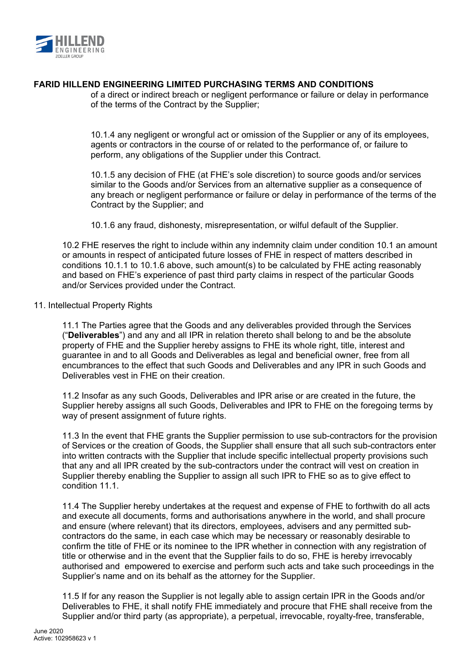

of a direct or indirect breach or negligent performance or failure or delay in performance of the terms of the Contract by the Supplier;

10.1.4 any negligent or wrongful act or omission of the Supplier or any of its employees, agents or contractors in the course of or related to the performance of, or failure to perform, any obligations of the Supplier under this Contract.

10.1.5 any decision of FHE (at FHE's sole discretion) to source goods and/or services similar to the Goods and/or Services from an alternative supplier as a consequence of any breach or negligent performance or failure or delay in performance of the terms of the Contract by the Supplier; and

10.1.6 any fraud, dishonesty, misrepresentation, or wilful default of the Supplier.

10.2 FHE reserves the right to include within any indemnity claim under condition 10.1 an amount or amounts in respect of anticipated future losses of FHE in respect of matters described in conditions 10.1.1 to 10.1.6 above, such amount(s) to be calculated by FHE acting reasonably and based on FHE's experience of past third party claims in respect of the particular Goods and/or Services provided under the Contract.

### 11. Intellectual Property Rights

11.1 The Parties agree that the Goods and any deliverables provided through the Services ("**Deliverables**") and any and all IPR in relation thereto shall belong to and be the absolute property of FHE and the Supplier hereby assigns to FHE its whole right, title, interest and guarantee in and to all Goods and Deliverables as legal and beneficial owner, free from all encumbrances to the effect that such Goods and Deliverables and any IPR in such Goods and Deliverables vest in FHE on their creation.

11.2 Insofar as any such Goods, Deliverables and IPR arise or are created in the future, the Supplier hereby assigns all such Goods, Deliverables and IPR to FHE on the foregoing terms by way of present assignment of future rights.

11.3 In the event that FHE grants the Supplier permission to use sub-contractors for the provision of Services or the creation of Goods, the Supplier shall ensure that all such sub-contractors enter into written contracts with the Supplier that include specific intellectual property provisions such that any and all IPR created by the sub-contractors under the contract will vest on creation in Supplier thereby enabling the Supplier to assign all such IPR to FHE so as to give effect to condition 11.1

11.4 The Supplier hereby undertakes at the request and expense of FHE to forthwith do all acts and execute all documents, forms and authorisations anywhere in the world, and shall procure and ensure (where relevant) that its directors, employees, advisers and any permitted subcontractors do the same, in each case which may be necessary or reasonably desirable to confirm the title of FHE or its nominee to the IPR whether in connection with any registration of title or otherwise and in the event that the Supplier fails to do so, FHE is hereby irrevocably authorised and empowered to exercise and perform such acts and take such proceedings in the Supplier's name and on its behalf as the attorney for the Supplier.

11.5 If for any reason the Supplier is not legally able to assign certain IPR in the Goods and/or Deliverables to FHE, it shall notify FHE immediately and procure that FHE shall receive from the Supplier and/or third party (as appropriate), a perpetual, irrevocable, royalty-free, transferable,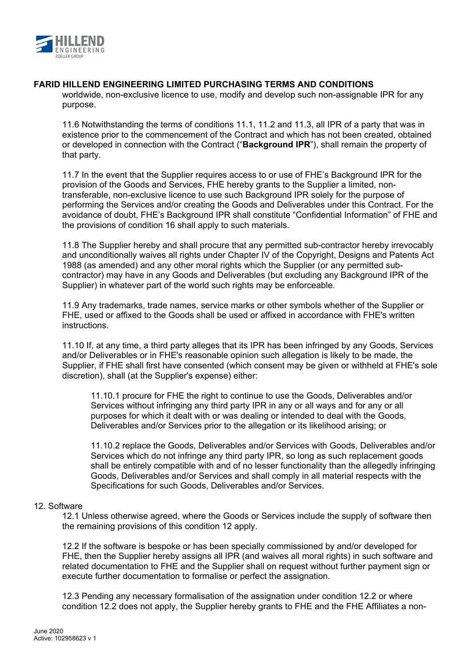

worldwide, non-exclusive licence to use, modify and develop such non-assignable IPR for any purpose.

11.6 Notwithstanding the terms of conditions 11.1, 11.2 and 11.3, all IPR of a party that was in existence prior to the commencement of the Contract and which has not been created, obtained or developed in connection with the Contract ("**Background IPR**"), shall remain the property of that party.

11.7 In the event that the Supplier requires access to or use of FHE's Background IPR for the provision of the Goods and Services, FHE hereby grants to the Supplier a limited, nontransferable, non-exclusive licence to use such Background IPR solely for the purpose of performing the Services and/or creating the Goods and Deliverables under this Contract. For the avoidance of doubt, FHE's Background IPR shall constitute "Confidential Information" of FHE and the provisions of condition 16 shall apply to such materials.

11.8 The Supplier hereby and shall procure that any permitted sub-contractor hereby irrevocably and unconditionally waives all rights under Chapter IV of the Copyright, Designs and Patents Act 1988 (as amended) and any other moral rights which the Supplier (or any permitted subcontractor) may have in any Goods and Deliverables (but excluding any Background IPR of the Supplier) in whatever part of the world such rights may be enforceable.

11.9 Any trademarks, trade names, service marks or other symbols whether of the Supplier or FHE, used or affixed to the Goods shall be used or affixed in accordance with FHE's written instructions.

11.10 If, at any time, a third party alleges that its IPR has been infringed by any Goods, Services and/or Deliverables or in FHE's reasonable opinion such allegation is likely to be made, the Supplier, if FHE shall first have consented (which consent may be given or withheld at FHE's sole discretion), shall (at the Supplier's expense) either:

11.10.1 procure for FHE the right to continue to use the Goods, Deliverables and/or Services without infringing any third party IPR in any or all ways and for any or all purposes for which it dealt with or was dealing or intended to deal with the Goods, Deliverables and/or Services prior to the allegation or its likelihood arising; or

11.10.2 replace the Goods, Deliverables and/or Services with Goods, Deliverables and/or Services which do not infringe any third party IPR, so long as such replacement goods shall be entirely compatible with and of no lesser functionality than the allegedly infringing Goods, Deliverables and/or Services and shall comply in all material respects with the Specifications for such Goods, Deliverables and/or Services.

### 12. Software

12.1 Unless otherwise agreed, where the Goods or Services include the supply of software then the remaining provisions of this condition 12 apply.

12.2 If the software is bespoke or has been specially commissioned by and/or developed for FHE, then the Supplier hereby assigns all IPR (and waives all moral rights) in such software and related documentation to FHE and the Supplier shall on request without further payment sign or execute further documentation to formalise or perfect the assignation.

12.3 Pending any necessary formalisation of the assignation under condition 12.2 or where condition 12.2 does not apply, the Supplier hereby grants to FHE and the FHE Affiliates a non-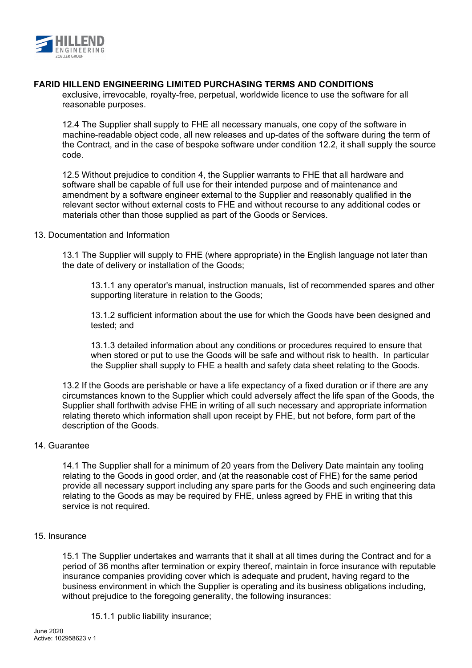

exclusive, irrevocable, royalty-free, perpetual, worldwide licence to use the software for all reasonable purposes.

12.4 The Supplier shall supply to FHE all necessary manuals, one copy of the software in machine-readable object code, all new releases and up-dates of the software during the term of the Contract, and in the case of bespoke software under condition 12.2, it shall supply the source code.

12.5 Without prejudice to condition 4, the Supplier warrants to FHE that all hardware and software shall be capable of full use for their intended purpose and of maintenance and amendment by a software engineer external to the Supplier and reasonably qualified in the relevant sector without external costs to FHE and without recourse to any additional codes or materials other than those supplied as part of the Goods or Services.

### 13. Documentation and Information

13.1 The Supplier will supply to FHE (where appropriate) in the English language not later than the date of delivery or installation of the Goods;

13.1.1 any operator's manual, instruction manuals, list of recommended spares and other supporting literature in relation to the Goods;

13.1.2 sufficient information about the use for which the Goods have been designed and tested; and

13.1.3 detailed information about any conditions or procedures required to ensure that when stored or put to use the Goods will be safe and without risk to health. In particular the Supplier shall supply to FHE a health and safety data sheet relating to the Goods.

13.2 If the Goods are perishable or have a life expectancy of a fixed duration or if there are any circumstances known to the Supplier which could adversely affect the life span of the Goods, the Supplier shall forthwith advise FHE in writing of all such necessary and appropriate information relating thereto which information shall upon receipt by FHE, but not before, form part of the description of the Goods.

### 14. Guarantee

14.1 The Supplier shall for a minimum of 20 years from the Delivery Date maintain any tooling relating to the Goods in good order, and (at the reasonable cost of FHE) for the same period provide all necessary support including any spare parts for the Goods and such engineering data relating to the Goods as may be required by FHE, unless agreed by FHE in writing that this service is not required.

### 15. Insurance

15.1 The Supplier undertakes and warrants that it shall at all times during the Contract and for a period of 36 months after termination or expiry thereof, maintain in force insurance with reputable insurance companies providing cover which is adequate and prudent, having regard to the business environment in which the Supplier is operating and its business obligations including, without prejudice to the foregoing generality, the following insurances:

15.1.1 public liability insurance;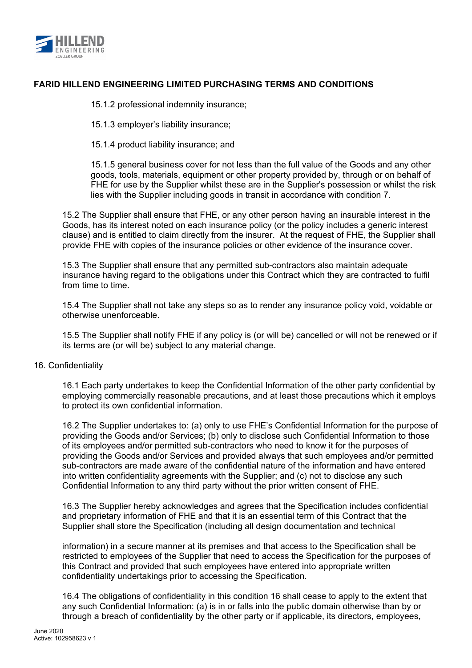

15.1.2 professional indemnity insurance;

15.1.3 employer's liability insurance;

15.1.4 product liability insurance; and

15.1.5 general business cover for not less than the full value of the Goods and any other goods, tools, materials, equipment or other property provided by, through or on behalf of FHE for use by the Supplier whilst these are in the Supplier's possession or whilst the risk lies with the Supplier including goods in transit in accordance with condition 7.

15.2 The Supplier shall ensure that FHE, or any other person having an insurable interest in the Goods, has its interest noted on each insurance policy (or the policy includes a generic interest clause) and is entitled to claim directly from the insurer. At the request of FHE, the Supplier shall provide FHE with copies of the insurance policies or other evidence of the insurance cover.

15.3 The Supplier shall ensure that any permitted sub-contractors also maintain adequate insurance having regard to the obligations under this Contract which they are contracted to fulfil from time to time.

15.4 The Supplier shall not take any steps so as to render any insurance policy void, voidable or otherwise unenforceable.

15.5 The Supplier shall notify FHE if any policy is (or will be) cancelled or will not be renewed or if its terms are (or will be) subject to any material change.

### 16. Confidentiality

16.1 Each party undertakes to keep the Confidential Information of the other party confidential by employing commercially reasonable precautions, and at least those precautions which it employs to protect its own confidential information.

16.2 The Supplier undertakes to: (a) only to use FHE's Confidential Information for the purpose of providing the Goods and/or Services; (b) only to disclose such Confidential Information to those of its employees and/or permitted sub-contractors who need to know it for the purposes of providing the Goods and/or Services and provided always that such employees and/or permitted sub-contractors are made aware of the confidential nature of the information and have entered into written confidentiality agreements with the Supplier; and (c) not to disclose any such Confidential Information to any third party without the prior written consent of FHE.

16.3 The Supplier hereby acknowledges and agrees that the Specification includes confidential and proprietary information of FHE and that it is an essential term of this Contract that the Supplier shall store the Specification (including all design documentation and technical

information) in a secure manner at its premises and that access to the Specification shall be restricted to employees of the Supplier that need to access the Specification for the purposes of this Contract and provided that such employees have entered into appropriate written confidentiality undertakings prior to accessing the Specification.

16.4 The obligations of confidentiality in this condition 16 shall cease to apply to the extent that any such Confidential Information: (a) is in or falls into the public domain otherwise than by or through a breach of confidentiality by the other party or if applicable, its directors, employees,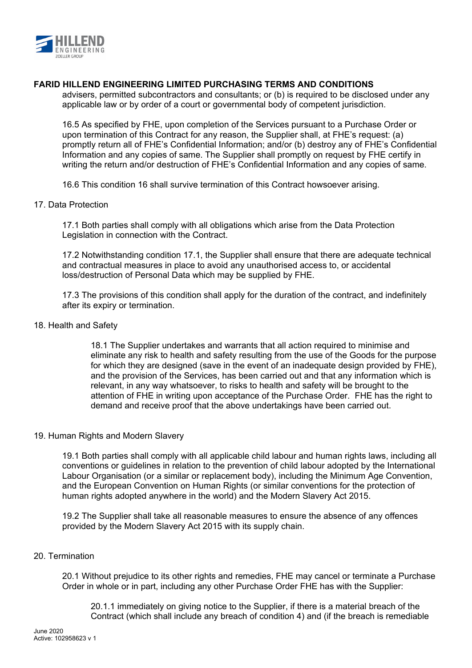

advisers, permitted subcontractors and consultants; or (b) is required to be disclosed under any applicable law or by order of a court or governmental body of competent jurisdiction.

16.5 As specified by FHE, upon completion of the Services pursuant to a Purchase Order or upon termination of this Contract for any reason, the Supplier shall, at FHE's request: (a) promptly return all of FHE's Confidential Information; and/or (b) destroy any of FHE's Confidential Information and any copies of same. The Supplier shall promptly on request by FHE certify in writing the return and/or destruction of FHE's Confidential Information and any copies of same.

16.6 This condition 16 shall survive termination of this Contract howsoever arising.

### 17. Data Protection

17.1 Both parties shall comply with all obligations which arise from the Data Protection Legislation in connection with the Contract.

17.2 Notwithstanding condition 17.1, the Supplier shall ensure that there are adequate technical and contractual measures in place to avoid any unauthorised access to, or accidental loss/destruction of Personal Data which may be supplied by FHE.

17.3 The provisions of this condition shall apply for the duration of the contract, and indefinitely after its expiry or termination.

#### 18. Health and Safety

18.1 The Supplier undertakes and warrants that all action required to minimise and eliminate any risk to health and safety resulting from the use of the Goods for the purpose for which they are designed (save in the event of an inadequate design provided by FHE), and the provision of the Services, has been carried out and that any information which is relevant, in any way whatsoever, to risks to health and safety will be brought to the attention of FHE in writing upon acceptance of the Purchase Order. FHE has the right to demand and receive proof that the above undertakings have been carried out.

### 19. Human Rights and Modern Slavery

19.1 Both parties shall comply with all applicable child labour and human rights laws, including all conventions or guidelines in relation to the prevention of child labour adopted by the International Labour Organisation (or a similar or replacement body), including the Minimum Age Convention, and the European Convention on Human Rights (or similar conventions for the protection of human rights adopted anywhere in the world) and the Modern Slavery Act 2015.

19.2 The Supplier shall take all reasonable measures to ensure the absence of any offences provided by the Modern Slavery Act 2015 with its supply chain.

### 20. Termination

20.1 Without prejudice to its other rights and remedies, FHE may cancel or terminate a Purchase Order in whole or in part, including any other Purchase Order FHE has with the Supplier:

20.1.1 immediately on giving notice to the Supplier, if there is a material breach of the Contract (which shall include any breach of condition 4) and (if the breach is remediable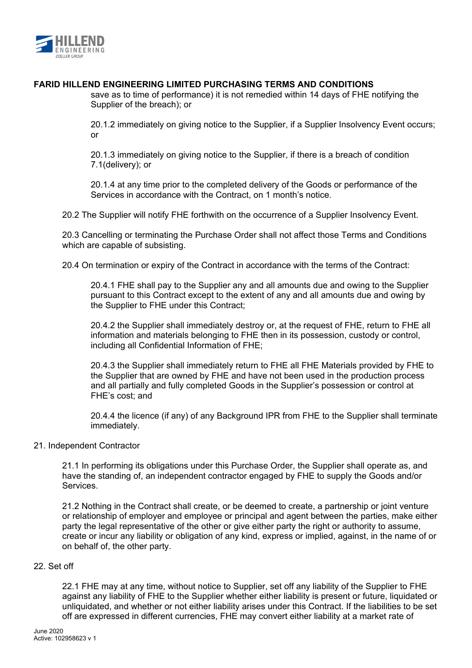

save as to time of performance) it is not remedied within 14 days of FHE notifying the Supplier of the breach); or

20.1.2 immediately on giving notice to the Supplier, if a Supplier Insolvency Event occurs; or

20.1.3 immediately on giving notice to the Supplier, if there is a breach of condition 7.1(delivery); or

20.1.4 at any time prior to the completed delivery of the Goods or performance of the Services in accordance with the Contract, on 1 month's notice.

20.2 The Supplier will notify FHE forthwith on the occurrence of a Supplier Insolvency Event.

20.3 Cancelling or terminating the Purchase Order shall not affect those Terms and Conditions which are capable of subsisting.

20.4 On termination or expiry of the Contract in accordance with the terms of the Contract:

20.4.1 FHE shall pay to the Supplier any and all amounts due and owing to the Supplier pursuant to this Contract except to the extent of any and all amounts due and owing by the Supplier to FHE under this Contract;

20.4.2 the Supplier shall immediately destroy or, at the request of FHE, return to FHE all information and materials belonging to FHE then in its possession, custody or control, including all Confidential Information of FHE;

20.4.3 the Supplier shall immediately return to FHE all FHE Materials provided by FHE to the Supplier that are owned by FHE and have not been used in the production process and all partially and fully completed Goods in the Supplier's possession or control at FHE's cost; and

20.4.4 the licence (if any) of any Background IPR from FHE to the Supplier shall terminate immediately.

### 21. Independent Contractor

21.1 In performing its obligations under this Purchase Order, the Supplier shall operate as, and have the standing of, an independent contractor engaged by FHE to supply the Goods and/or **Services** 

21.2 Nothing in the Contract shall create, or be deemed to create, a partnership or joint venture or relationship of employer and employee or principal and agent between the parties, make either party the legal representative of the other or give either party the right or authority to assume, create or incur any liability or obligation of any kind, express or implied, against, in the name of or on behalf of, the other party.

### 22. Set off

22.1 FHE may at any time, without notice to Supplier, set off any liability of the Supplier to FHE against any liability of FHE to the Supplier whether either liability is present or future, liquidated or unliquidated, and whether or not either liability arises under this Contract. If the liabilities to be set off are expressed in different currencies, FHE may convert either liability at a market rate of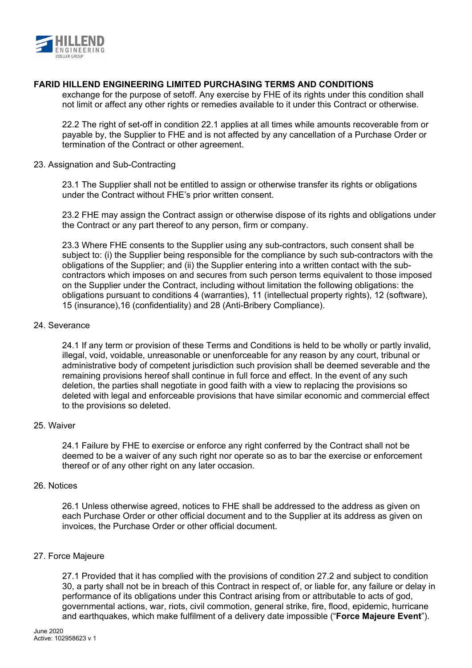

exchange for the purpose of setoff. Any exercise by FHE of its rights under this condition shall not limit or affect any other rights or remedies available to it under this Contract or otherwise.

22.2 The right of set-off in condition 22.1 applies at all times while amounts recoverable from or payable by, the Supplier to FHE and is not affected by any cancellation of a Purchase Order or termination of the Contract or other agreement.

### 23. Assignation and Sub-Contracting

23.1 The Supplier shall not be entitled to assign or otherwise transfer its rights or obligations under the Contract without FHE's prior written consent.

23.2 FHE may assign the Contract assign or otherwise dispose of its rights and obligations under the Contract or any part thereof to any person, firm or company.

23.3 Where FHE consents to the Supplier using any sub-contractors, such consent shall be subject to: (i) the Supplier being responsible for the compliance by such sub-contractors with the obligations of the Supplier; and (ii) the Supplier entering into a written contact with the subcontractors which imposes on and secures from such person terms equivalent to those imposed on the Supplier under the Contract, including without limitation the following obligations: the obligations pursuant to conditions 4 (warranties), 11 (intellectual property rights), 12 (software), 15 (insurance),16 (confidentiality) and 28 (Anti-Bribery Compliance).

### 24. Severance

24.1 If any term or provision of these Terms and Conditions is held to be wholly or partly invalid, illegal, void, voidable, unreasonable or unenforceable for any reason by any court, tribunal or administrative body of competent jurisdiction such provision shall be deemed severable and the remaining provisions hereof shall continue in full force and effect. In the event of any such deletion, the parties shall negotiate in good faith with a view to replacing the provisions so deleted with legal and enforceable provisions that have similar economic and commercial effect to the provisions so deleted.

### 25. Waiver

24.1 Failure by FHE to exercise or enforce any right conferred by the Contract shall not be deemed to be a waiver of any such right nor operate so as to bar the exercise or enforcement thereof or of any other right on any later occasion.

### 26. Notices

26.1 Unless otherwise agreed, notices to FHE shall be addressed to the address as given on each Purchase Order or other official document and to the Supplier at its address as given on invoices, the Purchase Order or other official document.

### 27. Force Majeure

27.1 Provided that it has complied with the provisions of condition 27.2 and subject to condition 30, a party shall not be in breach of this Contract in respect of, or liable for, any failure or delay in performance of its obligations under this Contract arising from or attributable to acts of god, governmental actions, war, riots, civil commotion, general strike, fire, flood, epidemic, hurricane and earthquakes, which make fulfilment of a delivery date impossible ("**Force Majeure Event**").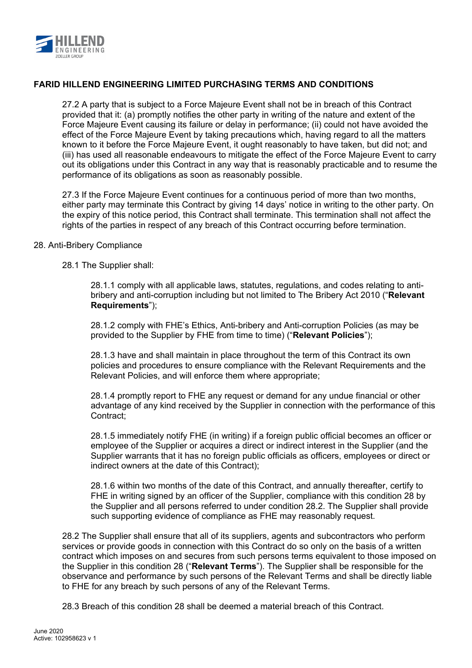

27.2 A party that is subject to a Force Majeure Event shall not be in breach of this Contract provided that it: (a) promptly notifies the other party in writing of the nature and extent of the Force Majeure Event causing its failure or delay in performance; (ii) could not have avoided the effect of the Force Majeure Event by taking precautions which, having regard to all the matters known to it before the Force Majeure Event, it ought reasonably to have taken, but did not; and (iii) has used all reasonable endeavours to mitigate the effect of the Force Majeure Event to carry out its obligations under this Contract in any way that is reasonably practicable and to resume the performance of its obligations as soon as reasonably possible.

27.3 If the Force Majeure Event continues for a continuous period of more than two months, either party may terminate this Contract by giving 14 days' notice in writing to the other party. On the expiry of this notice period, this Contract shall terminate. This termination shall not affect the rights of the parties in respect of any breach of this Contract occurring before termination.

### 28. Anti-Bribery Compliance

28.1 The Supplier shall:

28.1.1 comply with all applicable laws, statutes, regulations, and codes relating to antibribery and anti-corruption including but not limited to The Bribery Act 2010 ("**Relevant Requirements**");

28.1.2 comply with FHE's Ethics, Anti-bribery and Anti-corruption Policies (as may be provided to the Supplier by FHE from time to time) ("**Relevant Policies**");

28.1.3 have and shall maintain in place throughout the term of this Contract its own policies and procedures to ensure compliance with the Relevant Requirements and the Relevant Policies, and will enforce them where appropriate;

28.1.4 promptly report to FHE any request or demand for any undue financial or other advantage of any kind received by the Supplier in connection with the performance of this Contract;

28.1.5 immediately notify FHE (in writing) if a foreign public official becomes an officer or employee of the Supplier or acquires a direct or indirect interest in the Supplier (and the Supplier warrants that it has no foreign public officials as officers, employees or direct or indirect owners at the date of this Contract);

28.1.6 within two months of the date of this Contract, and annually thereafter, certify to FHE in writing signed by an officer of the Supplier, compliance with this condition 28 by the Supplier and all persons referred to under condition 28.2. The Supplier shall provide such supporting evidence of compliance as FHE may reasonably request.

28.2 The Supplier shall ensure that all of its suppliers, agents and subcontractors who perform services or provide goods in connection with this Contract do so only on the basis of a written contract which imposes on and secures from such persons terms equivalent to those imposed on the Supplier in this condition 28 ("**Relevant Terms**"). The Supplier shall be responsible for the observance and performance by such persons of the Relevant Terms and shall be directly liable to FHE for any breach by such persons of any of the Relevant Terms.

28.3 Breach of this condition 28 shall be deemed a material breach of this Contract.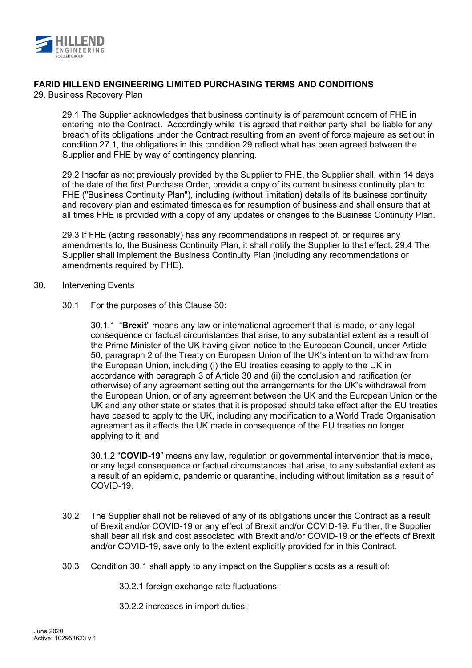

29. Business Recovery Plan

29.1 The Supplier acknowledges that business continuity is of paramount concern of FHE in entering into the Contract. Accordingly while it is agreed that neither party shall be liable for any breach of its obligations under the Contract resulting from an event of force majeure as set out in condition 27.1, the obligations in this condition 29 reflect what has been agreed between the Supplier and FHE by way of contingency planning.

29.2 Insofar as not previously provided by the Supplier to FHE, the Supplier shall, within 14 days of the date of the first Purchase Order, provide a copy of its current business continuity plan to FHE ("Business Continuity Plan"), including (without limitation) details of its business continuity and recovery plan and estimated timescales for resumption of business and shall ensure that at all times FHE is provided with a copy of any updates or changes to the Business Continuity Plan.

29.3 If FHE (acting reasonably) has any recommendations in respect of, or requires any amendments to, the Business Continuity Plan, it shall notify the Supplier to that effect. 29.4 The Supplier shall implement the Business Continuity Plan (including any recommendations or amendments required by FHE).

- 30. Intervening Events
	- 30.1 For the purposes of this Clause 30:

30.1.1 "**Brexit**" means any law or international agreement that is made, or any legal consequence or factual circumstances that arise, to any substantial extent as a result of the Prime Minister of the UK having given notice to the European Council, under Article 50, paragraph 2 of the Treaty on European Union of the UK's intention to withdraw from the European Union, including (i) the EU treaties ceasing to apply to the UK in accordance with paragraph 3 of Article 30 and (ii) the conclusion and ratification (or otherwise) of any agreement setting out the arrangements for the UK's withdrawal from the European Union, or of any agreement between the UK and the European Union or the UK and any other state or states that it is proposed should take effect after the EU treaties have ceased to apply to the UK, including any modification to a World Trade Organisation agreement as it affects the UK made in consequence of the EU treaties no longer applying to it; and

30.1.2 "**COVID-19**" means any law, regulation or governmental intervention that is made, or any legal consequence or factual circumstances that arise, to any substantial extent as a result of an epidemic, pandemic or quarantine, including without limitation as a result of COVID-19.

- 30.2 The Supplier shall not be relieved of any of its obligations under this Contract as a result of Brexit and/or COVID-19 or any effect of Brexit and/or COVID-19. Further, the Supplier shall bear all risk and cost associated with Brexit and/or COVID-19 or the effects of Brexit and/or COVID-19, save only to the extent explicitly provided for in this Contract.
- 30.3 Condition 30.1 shall apply to any impact on the Supplier's costs as a result of:

30.2.1 foreign exchange rate fluctuations;

30.2.2 increases in import duties;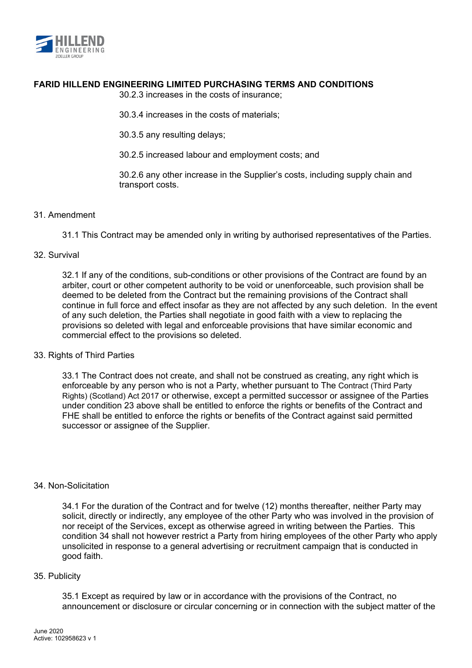

30.2.3 increases in the costs of insurance;

30.3.4 increases in the costs of materials;

30.3.5 any resulting delays;

30.2.5 increased labour and employment costs; and

30.2.6 any other increase in the Supplier's costs, including supply chain and transport costs.

### 31. Amendment

31.1 This Contract may be amended only in writing by authorised representatives of the Parties.

### 32. Survival

32.1 If any of the conditions, sub-conditions or other provisions of the Contract are found by an arbiter, court or other competent authority to be void or unenforceable, such provision shall be deemed to be deleted from the Contract but the remaining provisions of the Contract shall continue in full force and effect insofar as they are not affected by any such deletion. In the event of any such deletion, the Parties shall negotiate in good faith with a view to replacing the provisions so deleted with legal and enforceable provisions that have similar economic and commercial effect to the provisions so deleted.

### 33. Rights of Third Parties

33.1 The Contract does not create, and shall not be construed as creating, any right which is enforceable by any person who is not a Party, whether pursuant to The Contract (Third Party Rights) (Scotland) Act 2017 or otherwise, except a permitted successor or assignee of the Parties under condition 23 above shall be entitled to enforce the rights or benefits of the Contract and FHE shall be entitled to enforce the rights or benefits of the Contract against said permitted successor or assignee of the Supplier.

### 34. Non-Solicitation

34.1 For the duration of the Contract and for twelve (12) months thereafter, neither Party may solicit, directly or indirectly, any employee of the other Party who was involved in the provision of nor receipt of the Services, except as otherwise agreed in writing between the Parties. This condition 34 shall not however restrict a Party from hiring employees of the other Party who apply unsolicited in response to a general advertising or recruitment campaign that is conducted in good faith.

### 35. Publicity

35.1 Except as required by law or in accordance with the provisions of the Contract, no announcement or disclosure or circular concerning or in connection with the subject matter of the